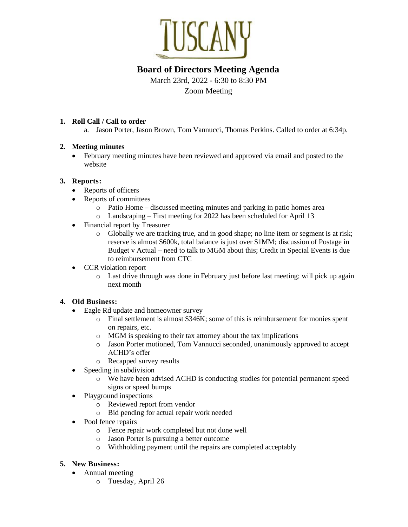

# **Board of Directors Meeting Agenda**

March 23rd, 2022 - 6:30 to 8:30 PM

Zoom Meeting

#### **1. Roll Call / Call to order**

a. Jason Porter, Jason Brown, Tom Vannucci, Thomas Perkins. Called to order at 6:34p.

#### **2. Meeting minutes**

• February meeting minutes have been reviewed and approved via email and posted to the website

#### **3. Reports:**

- Reports of officers
- Reports of committees
	- o Patio Home discussed meeting minutes and parking in patio homes area
	- o Landscaping First meeting for 2022 has been scheduled for April 13
- Financial report by Treasurer
	- o Globally we are tracking true, and in good shape; no line item or segment is at risk; reserve is almost \$600k, total balance is just over \$1MM; discussion of Postage in Budget v Actual – need to talk to MGM about this; Credit in Special Events is due to reimbursement from CTC
- CCR violation report
	- o Last drive through was done in February just before last meeting; will pick up again next month

#### **4. Old Business:**

- Eagle Rd update and homeowner survey
	- $\circ$  Final settlement is almost \$346K; some of this is reimbursement for monies spent on repairs, etc.
	- o MGM is speaking to their tax attorney about the tax implications
	- o Jason Porter motioned, Tom Vannucci seconded, unanimously approved to accept ACHD's offer
	- o Recapped survey results
- Speeding in subdivision
	- o We have been advised ACHD is conducting studies for potential permanent speed signs or speed bumps
- Playground inspections
	- o Reviewed report from vendor
	- o Bid pending for actual repair work needed
- Pool fence repairs
	- o Fence repair work completed but not done well
	- o Jason Porter is pursuing a better outcome
	- o Withholding payment until the repairs are completed acceptably

### **5. New Business:**

- Annual meeting
	- o Tuesday, April 26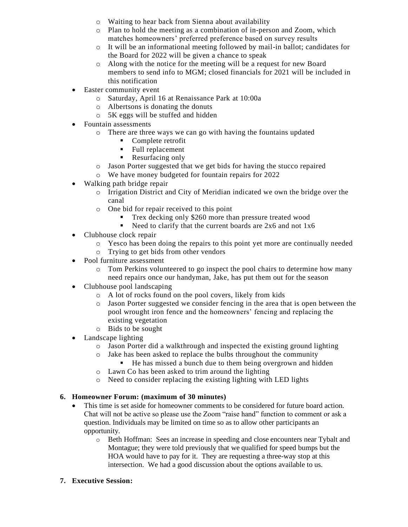- o Waiting to hear back from Sienna about availability
- o Plan to hold the meeting as a combination of in-person and Zoom, which matches homeowners' preferred preference based on survey results
- o It will be an informational meeting followed by mail-in ballot; candidates for the Board for 2022 will be given a chance to speak
- o Along with the notice for the meeting will be a request for new Board members to send info to MGM; closed financials for 2021 will be included in this notification
- Easter community event
	- o Saturday, April 16 at Renaissance Park at 10:00a
	- o Albertsons is donating the donuts
	- o 5K eggs will be stuffed and hidden
- Fountain assessments
	- o There are three ways we can go with having the fountains updated
		- Complete retrofit
		- Full replacement
		- Resurfacing only
	- o Jason Porter suggested that we get bids for having the stucco repaired
	- o We have money budgeted for fountain repairs for 2022
- Walking path bridge repair
	- $\circ$  Irrigation District and City of Meridian indicated we own the bridge over the canal
	- o One bid for repair received to this point
		- Trex decking only \$260 more than pressure treated wood
		- Need to clarify that the current boards are  $2x6$  and not  $1x6$
- Clubhouse clock repair
	- o Yesco has been doing the repairs to this point yet more are continually needed
	- o Trying to get bids from other vendors
- Pool furniture assessment
	- o Tom Perkins volunteered to go inspect the pool chairs to determine how many need repairs once our handyman, Jake, has put them out for the season
- Clubhouse pool landscaping
	- o A lot of rocks found on the pool covers, likely from kids
	- o Jason Porter suggested we consider fencing in the area that is open between the pool wrought iron fence and the homeowners' fencing and replacing the existing vegetation
	- o Bids to be sought
- Landscape lighting
	- o Jason Porter did a walkthrough and inspected the existing ground lighting
	- o Jake has been asked to replace the bulbs throughout the community
		- He has missed a bunch due to them being overgrown and hidden
	- o Lawn Co has been asked to trim around the lighting
	- o Need to consider replacing the existing lighting with LED lights

## **6. Homeowner Forum: (maximum of 30 minutes)**

- This time is set aside for homeowner comments to be considered for future board action. Chat will not be active so please use the Zoom "raise hand" function to comment or ask a question. Individuals may be limited on time so as to allow other participants an opportunity.
	- o Beth Hoffman: Sees an increase in speeding and close encounters near Tybalt and Montague; they were told previously that we qualified for speed bumps but the HOA would have to pay for it. They are requesting a three-way stop at this intersection. We had a good discussion about the options available to us.
- **7. Executive Session:**